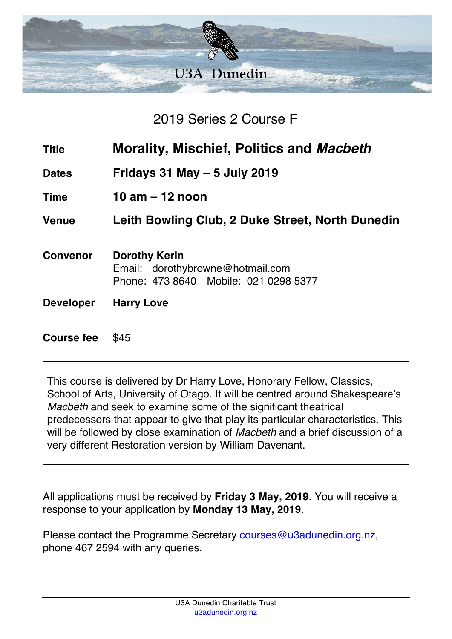

## 2019 Series 2 Course F

- **Title Morality, Mischief, Politics and** *Macbeth*
- **Dates Fridays 31 May – 5 July 2019**
- **Time 10 am – 12 noon**

**Venue Leith Bowling Club, 2 Duke Street, North Dunedin**

- **Convenor Dorothy Kerin** Email: dorothybrowne@hotmail.com Phone: 473 8640 Mobile: 021 0298 5377
- **Developer Harry Love**

## **Course fee** \$45

This course is delivered by Dr Harry Love, Honorary Fellow, Classics, School of Arts, University of Otago. It will be centred around Shakespeare's *Macbeth* and seek to examine some of the significant theatrical predecessors that appear to give that play its particular characteristics. This will be followed by close examination of *Macbeth* and a brief discussion of a very different Restoration version by William Davenant.

All applications must be received by **Friday 3 May, 2019**. You will receive a response to your application by **Monday 13 May, 2019**.

Please contact the Programme Secretary courses@u3adunedin.org.nz, phone 467 2594 with any queries.